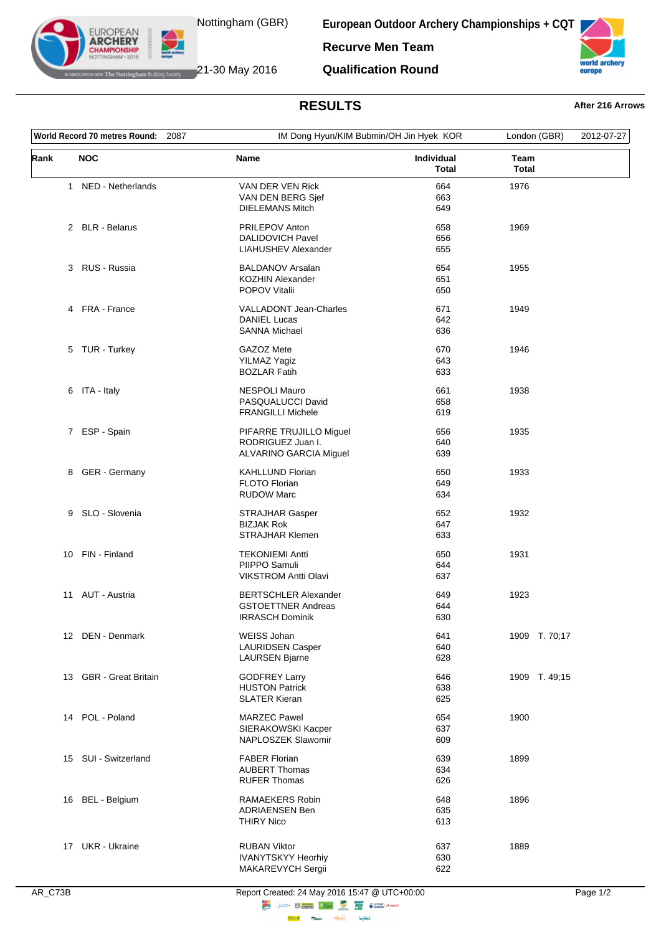

The Nottingham Building Society 21-30 May 2016

**EUROPEAN ARCHERY** 

**European Outdoor Archery Championships + CQT**

**Recurve Men Team**

**Qualification Round**



## **RESULTS After 216 Arrows**

| World Record 70 metres Round: 2087 |                        |                                                | IM Dong Hyun/KIM Bubmin/OH Jin Hyek KOR |                      | 2012-07-27 |
|------------------------------------|------------------------|------------------------------------------------|-----------------------------------------|----------------------|------------|
| Rank                               | <b>NOC</b>             | Name                                           | Individual<br><b>Total</b>              | Team<br><b>Total</b> |            |
|                                    | 1 NED - Netherlands    | VAN DER VEN Rick                               | 664                                     | 1976                 |            |
|                                    |                        | VAN DEN BERG Sjef                              | 663                                     |                      |            |
|                                    |                        | <b>DIELEMANS Mitch</b>                         | 649                                     |                      |            |
|                                    | 2 BLR - Belarus        | PRILEPOV Anton                                 | 658                                     | 1969                 |            |
|                                    |                        | <b>DALIDOVICH Pavel</b>                        | 656                                     |                      |            |
|                                    |                        | LIAHUSHEV Alexander                            | 655                                     |                      |            |
|                                    | 3 RUS - Russia         | <b>BALDANOV Arsalan</b>                        | 654                                     | 1955                 |            |
|                                    |                        | <b>KOZHIN Alexander</b>                        | 651                                     |                      |            |
|                                    |                        | <b>POPOV Vitalii</b>                           | 650                                     |                      |            |
|                                    | 4 FRA - France         | <b>VALLADONT Jean-Charles</b>                  | 671                                     | 1949                 |            |
|                                    |                        | <b>DANIEL Lucas</b>                            | 642                                     |                      |            |
|                                    |                        | <b>SANNA Michael</b>                           | 636                                     |                      |            |
|                                    |                        |                                                |                                         |                      |            |
|                                    | 5 TUR - Turkey         | GAZOZ Mete                                     | 670                                     | 1946                 |            |
|                                    |                        | YILMAZ Yagiz<br><b>BOZLAR Fatih</b>            | 643                                     |                      |            |
|                                    |                        |                                                | 633                                     |                      |            |
|                                    | 6 ITA - Italy          | <b>NESPOLI Mauro</b>                           | 661                                     | 1938                 |            |
|                                    |                        | PASQUALUCCI David                              | 658                                     |                      |            |
|                                    |                        | <b>FRANGILLI Michele</b>                       | 619                                     |                      |            |
|                                    | 7 ESP - Spain          | PIFARRE TRUJILLO Miguel                        | 656                                     | 1935                 |            |
|                                    |                        | RODRIGUEZ Juan I.                              | 640                                     |                      |            |
|                                    |                        | ALVARINO GARCIA Miguel                         | 639                                     |                      |            |
|                                    | 8 GER - Germany        | <b>KAHLLUND Florian</b>                        | 650                                     | 1933                 |            |
|                                    |                        | FLOTO Florian                                  | 649                                     |                      |            |
|                                    |                        | <b>RUDOW Marc</b>                              | 634                                     |                      |            |
|                                    |                        |                                                |                                         |                      |            |
| 9                                  | SLO - Slovenia         | <b>STRAJHAR Gasper</b>                         | 652                                     | 1932                 |            |
|                                    |                        | <b>BIZJAK Rok</b>                              | 647                                     |                      |            |
|                                    |                        | <b>STRAJHAR Klemen</b>                         | 633                                     |                      |            |
|                                    | 10 FIN - Finland       | <b>TEKONIEMI Antti</b>                         | 650                                     | 1931                 |            |
|                                    |                        | PIIPPO Samuli                                  | 644                                     |                      |            |
|                                    |                        | <b>VIKSTROM Antti Olavi</b>                    | 637                                     |                      |            |
| 11                                 | AUT - Austria          | <b>BERTSCHLER Alexander</b>                    | 649                                     | 1923                 |            |
|                                    |                        | <b>GSTOETTNER Andreas</b>                      | 644                                     |                      |            |
|                                    |                        | <b>IRRASCH Dominik</b>                         | 630                                     |                      |            |
|                                    | 12 DEN - Denmark       | WEISS Johan                                    | 641                                     | 1909 T. 70;17        |            |
|                                    |                        | <b>LAURIDSEN Casper</b>                        | 640                                     |                      |            |
|                                    |                        | <b>LAURSEN Bjarne</b>                          | 628                                     |                      |            |
|                                    | 13 GBR - Great Britain | <b>GODFREY Larry</b>                           | 646                                     | 1909 T. 49;15        |            |
|                                    |                        | <b>HUSTON Patrick</b>                          | 638                                     |                      |            |
|                                    |                        | <b>SLATER Kieran</b>                           | 625                                     |                      |            |
|                                    | 14 POL - Poland        | <b>MARZEC Pawel</b>                            | 654                                     | 1900                 |            |
|                                    |                        | SIERAKOWSKI Kacper                             | 637                                     |                      |            |
|                                    |                        | NAPLOSZEK Slawomir                             | 609                                     |                      |            |
|                                    |                        |                                                |                                         |                      |            |
|                                    | 15 SUI - Switzerland   | <b>FABER Florian</b>                           | 639                                     | 1899                 |            |
|                                    |                        | <b>AUBERT Thomas</b>                           | 634                                     |                      |            |
|                                    |                        | <b>RUFER Thomas</b>                            | 626                                     |                      |            |
|                                    | 16 BEL - Belgium       | <b>RAMAEKERS Robin</b>                         | 648                                     | 1896                 |            |
|                                    |                        | <b>ADRIAENSEN Ben</b>                          | 635                                     |                      |            |
|                                    |                        | <b>THIRY Nico</b>                              | 613                                     |                      |            |
|                                    |                        |                                                |                                         |                      |            |
|                                    | 17 UKR - Ukraine       | <b>RUBAN Viktor</b>                            | 637                                     | 1889                 |            |
|                                    |                        | <b>IVANYTSKYY Heorhiy</b><br>MAKAREVYCH Sergii | 630<br>622                              |                      |            |
|                                    |                        |                                                |                                         |                      |            |